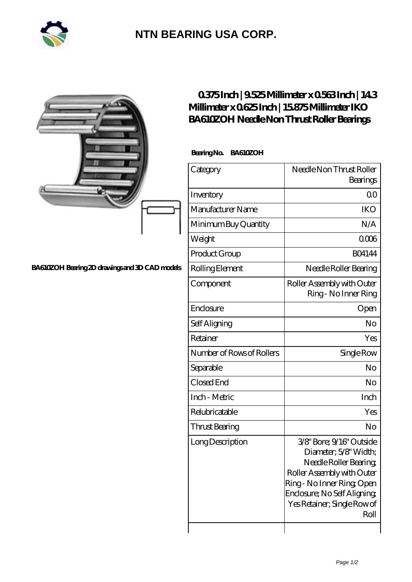

## **[NTN BEARING USA CORP.](https://m.2rw-antriebselemente.de)**

|                                                | Millimeter x 0625Inch   15875Millimeter IKO<br>BA610ZOH Needle Non Thrust Roller Bearings | 0375Inch   9525Millimeter x 0563Inch   143                                                                                                                                                                  |
|------------------------------------------------|-------------------------------------------------------------------------------------------|-------------------------------------------------------------------------------------------------------------------------------------------------------------------------------------------------------------|
|                                                | Bearing No. BA610ZOH                                                                      |                                                                                                                                                                                                             |
|                                                | Category                                                                                  | Needle Non Thrust Roller<br>Bearings                                                                                                                                                                        |
|                                                | Inventory                                                                                 | QO                                                                                                                                                                                                          |
|                                                | Manufacturer Name                                                                         | <b>IKO</b>                                                                                                                                                                                                  |
|                                                | Minimum Buy Quantity                                                                      | N/A                                                                                                                                                                                                         |
|                                                | Weight                                                                                    | 0006                                                                                                                                                                                                        |
|                                                | Product Group                                                                             | <b>BO4144</b>                                                                                                                                                                                               |
| BA610ZOH Bearing 2D drawings and 3D CAD models | Rolling Element                                                                           | Needle Roller Bearing                                                                                                                                                                                       |
|                                                | Component                                                                                 | Roller Assembly with Outer<br>Ring - No Inner Ring                                                                                                                                                          |
|                                                | Enclosure                                                                                 | Open                                                                                                                                                                                                        |
|                                                | Self Aligning                                                                             | No                                                                                                                                                                                                          |
|                                                | Retainer                                                                                  | Yes                                                                                                                                                                                                         |
|                                                | Number of Rows of Rollers                                                                 | Single Row                                                                                                                                                                                                  |
|                                                | Separable                                                                                 | No                                                                                                                                                                                                          |
|                                                | Closed End                                                                                | No                                                                                                                                                                                                          |
|                                                | Inch - Metric                                                                             | Inch                                                                                                                                                                                                        |
|                                                | Relubricatable                                                                            | Yes                                                                                                                                                                                                         |
|                                                | <b>Thrust Bearing</b>                                                                     | No                                                                                                                                                                                                          |
|                                                | Long Description                                                                          | 3/8" Bore; 9/16" Outside<br>Diameter; 5/8' Width;<br>Needle Roller Bearing<br>Roller Assembly with Outer<br>Ring - No Inner Ring Open<br>Enclosure; No Self Aligning<br>Yes Retainer; Single Row of<br>Roll |
|                                                |                                                                                           |                                                                                                                                                                                                             |